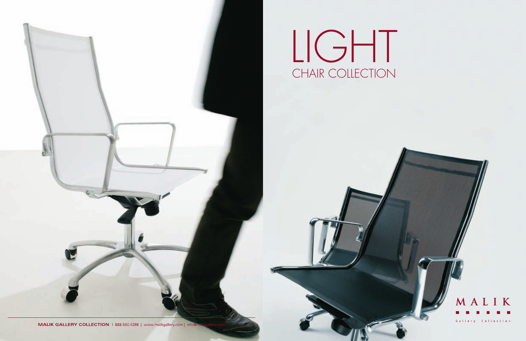

## LIGHT CHAIR COLLECTION

MALIK GALLERY COLLECTION | 888.550.4398 | www.malikgallery.com | info@n